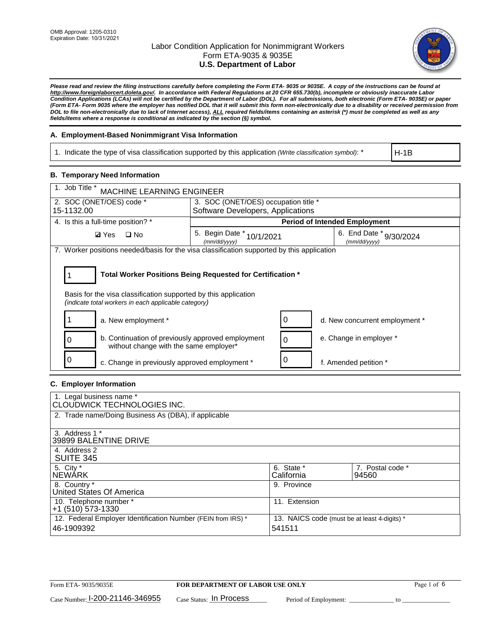

*Please read and review the filing instructions carefully before completing the Form ETA- 9035 or 9035E. A copy of the instructions can be found at [http://www.foreignlaborcert.doleta.gov/.](http://www.foreignlaborcert.doleta.gov/) In accordance with Federal Regulations at 20 CFR 655.730(b), incomplete or obviously inaccurate Labor Condition Applications (LCAs) will not be certified by the Department of Labor (DOL). For all submissions, both electronic (Form ETA- 9035E) or paper (Form ETA- Form 9035 where the employer has notified DOL that it will submit this form non-electronically due to a disability or received permission from DOL to file non-electronically due to lack of Internet access), ALL required fields/items containing an asterisk (\*) must be completed as well as any fields/items where a response is conditional as indicated by the section (§) symbol.* 

## **A. Employment-Based Nonimmigrant Visa Information**

1. Indicate the type of visa classification supported by this application *(Write classification symbol)*: \*

H-1B

## **B. Temporary Need Information**

| 1. Job Title *<br><b>MACHINE LEARNING ENGINEER</b>                                                                                                                                    |                                           |                                         |  |  |  |  |
|---------------------------------------------------------------------------------------------------------------------------------------------------------------------------------------|-------------------------------------------|-----------------------------------------|--|--|--|--|
| 2. SOC (ONET/OES) code *                                                                                                                                                              | 3. SOC (ONET/OES) occupation title *      |                                         |  |  |  |  |
| 15-1132.00                                                                                                                                                                            | Software Developers, Applications         |                                         |  |  |  |  |
| 4. Is this a full-time position? *                                                                                                                                                    |                                           | <b>Period of Intended Employment</b>    |  |  |  |  |
| $\Box$ No<br><b>Ø</b> Yes                                                                                                                                                             | 5. Begin Date * 10/1/2021<br>(mm/dd/yyyy) | 6. End Date * 9/30/2024<br>(mm/dd/vvvv) |  |  |  |  |
| 7. Worker positions needed/basis for the visa classification supported by this application                                                                                            |                                           |                                         |  |  |  |  |
| Total Worker Positions Being Requested for Certification *<br>Basis for the visa classification supported by this application<br>(indicate total workers in each applicable category) |                                           |                                         |  |  |  |  |
| a. New employment *                                                                                                                                                                   |                                           | 0<br>d. New concurrent employment *     |  |  |  |  |
| b. Continuation of previously approved employment<br>0<br>without change with the same employer*                                                                                      |                                           | e. Change in employer *<br>0            |  |  |  |  |
| c. Change in previously approved employment *                                                                                                                                         |                                           | f. Amended petition *                   |  |  |  |  |

## **C. Employer Information**

| 1. Legal business name *<br><b>CLOUDWICK TECHNOLOGIES INC.</b>             |                                                        |                           |
|----------------------------------------------------------------------------|--------------------------------------------------------|---------------------------|
| 2. Trade name/Doing Business As (DBA), if applicable                       |                                                        |                           |
| 3. Address 1 *<br>39899 BALENTINE DRIVE                                    |                                                        |                           |
| 4. Address 2<br><b>SUITE 345</b>                                           |                                                        |                           |
| 5. City *<br><b>NEWARK</b>                                                 | 6. State *<br>California                               | 7. Postal code *<br>94560 |
| 8. Country *<br>United States Of America                                   | 9. Province                                            |                           |
| 10. Telephone number *<br>+1 (510) 573-1330                                | 11. Extension                                          |                           |
| 12. Federal Employer Identification Number (FEIN from IRS) *<br>46-1909392 | 13. NAICS code (must be at least 4-digits) *<br>541511 |                           |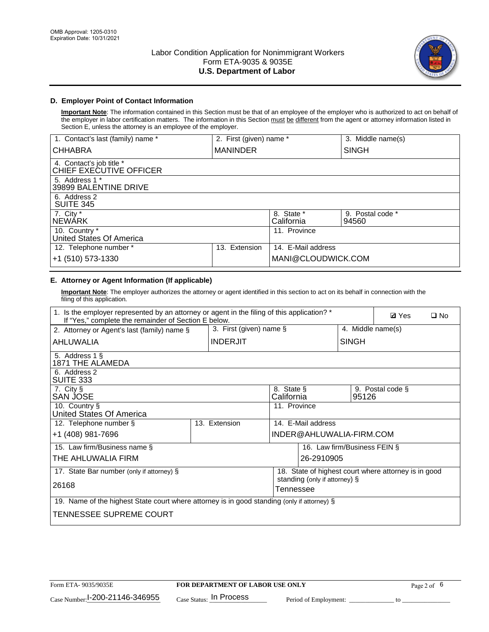

## **D. Employer Point of Contact Information**

**Important Note**: The information contained in this Section must be that of an employee of the employer who is authorized to act on behalf of the employer in labor certification matters. The information in this Section must be different from the agent or attorney information listed in Section E, unless the attorney is an employee of the employer.

| 1. Contact's last (family) name *                   | 2. First (given) name * |                          | 3. Middle name(s)         |
|-----------------------------------------------------|-------------------------|--------------------------|---------------------------|
| <b>CHHABRA</b>                                      | <b>MANINDER</b>         |                          | <b>SINGH</b>              |
| 4. Contact's job title *<br>CHIEF EXECUTIVE OFFICER |                         |                          |                           |
| 5. Address 1 *<br>39899 BALENTINE DRIVE             |                         |                          |                           |
| 6. Address 2<br><b>SUITE 345</b>                    |                         |                          |                           |
| 7. City *<br><b>NEWÁRK</b>                          |                         | 8. State *<br>California | 9. Postal code *<br>94560 |
| 10. Country *<br>United States Of America           |                         | 11. Province             |                           |
| 12. Telephone number *                              | Extension<br>13.        | 14. E-Mail address       |                           |
| +1 (510) 573-1330                                   |                         | MANI@CLOUDWICK.COM       |                           |

## **E. Attorney or Agent Information (If applicable)**

**Important Note**: The employer authorizes the attorney or agent identified in this section to act on its behalf in connection with the filing of this application.

| 1. Is the employer represented by an attorney or agent in the filing of this application? *<br>If "Yes," complete the remainder of Section E below. | <b>Ø</b> Yes<br>$\square$ No |                 |                          |                               |                              |                                                      |  |
|-----------------------------------------------------------------------------------------------------------------------------------------------------|------------------------------|-----------------|--------------------------|-------------------------------|------------------------------|------------------------------------------------------|--|
| 3. First (given) name $\S$<br>4. Middle name(s)<br>2. Attorney or Agent's last (family) name §                                                      |                              |                 |                          |                               |                              |                                                      |  |
| AHLUWALIA                                                                                                                                           |                              | <b>INDERJIT</b> |                          |                               | <b>SINGH</b>                 |                                                      |  |
| 5. Address 1 §<br>1871 THE ALAMEDA                                                                                                                  |                              |                 |                          |                               |                              |                                                      |  |
| 6. Address 2<br>SUITE 333                                                                                                                           |                              |                 |                          |                               |                              |                                                      |  |
| 7. City §<br>SAN JOSE                                                                                                                               |                              |                 | 8. State §<br>California |                               | 95126                        | 9. Postal code §                                     |  |
| 10. Country §<br>11. Province<br>United States Of America                                                                                           |                              |                 |                          |                               |                              |                                                      |  |
| 12. Telephone number §                                                                                                                              |                              | 13. Extension   |                          | 14. E-Mail address            |                              |                                                      |  |
| +1 (408) 981-7696                                                                                                                                   |                              |                 |                          | INDER@AHLUWALIA-FIRM.COM      |                              |                                                      |  |
| 15. Law firm/Business name §                                                                                                                        |                              |                 |                          |                               | 16. Law firm/Business FEIN § |                                                      |  |
| THE AHLUWALIA FIRM                                                                                                                                  |                              |                 |                          | 26-2910905                    |                              |                                                      |  |
| 17. State Bar number (only if attorney) §                                                                                                           |                              |                 |                          | standing (only if attorney) § |                              | 18. State of highest court where attorney is in good |  |
| 26168                                                                                                                                               |                              |                 | Tennessee                |                               |                              |                                                      |  |
| 19. Name of the highest State court where attorney is in good standing (only if attorney) §                                                         |                              |                 |                          |                               |                              |                                                      |  |
| TENNESSEE SUPREME COURT                                                                                                                             |                              |                 |                          |                               |                              |                                                      |  |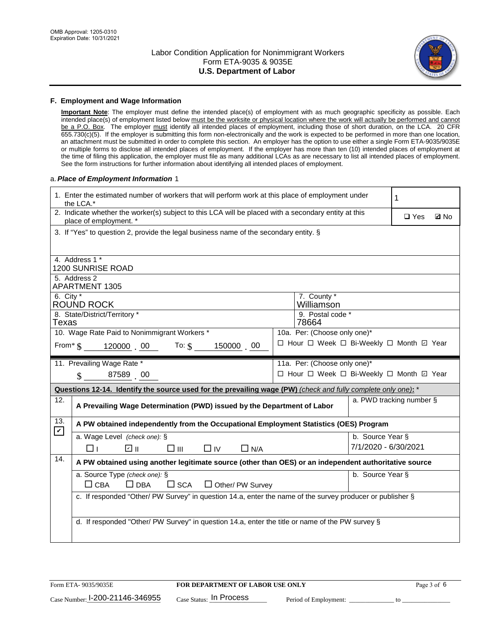

#### **F. Employment and Wage Information**

**Important Note**: The employer must define the intended place(s) of employment with as much geographic specificity as possible. Each intended place(s) of employment listed below must be the worksite or physical location where the work will actually be performed and cannot be a P.O. Box. The employer must identify all intended places of employment, including those of short duration, on the LCA. 20 CFR 655.730(c)(5). If the employer is submitting this form non-electronically and the work is expected to be performed in more than one location, an attachment must be submitted in order to complete this section. An employer has the option to use either a single Form ETA-9035/9035E or multiple forms to disclose all intended places of employment. If the employer has more than ten (10) intended places of employment at the time of filing this application, the employer must file as many additional LCAs as are necessary to list all intended places of employment. See the form instructions for further information about identifying all intended places of employment.

#### a.*Place of Employment Information* 1

|                                                                              | 1. Enter the estimated number of workers that will perform work at this place of employment under<br>the LCA.*                 |  | 1                                        |                      |                          |             |  |  |
|------------------------------------------------------------------------------|--------------------------------------------------------------------------------------------------------------------------------|--|------------------------------------------|----------------------|--------------------------|-------------|--|--|
|                                                                              | 2. Indicate whether the worker(s) subject to this LCA will be placed with a secondary entity at this<br>place of employment. * |  |                                          |                      | $\Box$ Yes               | <b>Ø</b> No |  |  |
|                                                                              | 3. If "Yes" to question 2, provide the legal business name of the secondary entity. §                                          |  |                                          |                      |                          |             |  |  |
|                                                                              | 4. Address 1 *                                                                                                                 |  |                                          |                      |                          |             |  |  |
|                                                                              | 1200 SUNRISE ROAD                                                                                                              |  |                                          |                      |                          |             |  |  |
|                                                                              | 5. Address 2<br><b>APARTMENT 1305</b>                                                                                          |  |                                          |                      |                          |             |  |  |
| 6. City $*$                                                                  | ROUND ROCK                                                                                                                     |  | 7. County *<br>Williamson                |                      |                          |             |  |  |
|                                                                              | 9. Postal code *<br>8. State/District/Territory *<br>Texas<br>78664                                                            |  |                                          |                      |                          |             |  |  |
| 10. Wage Rate Paid to Nonimmigrant Workers *<br>10a. Per: (Choose only one)* |                                                                                                                                |  |                                          |                      |                          |             |  |  |
|                                                                              | □ Hour □ Week □ Bi-Weekly □ Month ☑ Year<br>From* \$120000 00 To: \$<br>150000 00                                              |  |                                          |                      |                          |             |  |  |
|                                                                              | 11. Prevailing Wage Rate *<br>11a. Per: (Choose only one)*                                                                     |  |                                          |                      |                          |             |  |  |
|                                                                              | $\sin 87589$ 00                                                                                                                |  | □ Hour □ Week □ Bi-Weekly □ Month ☑ Year |                      |                          |             |  |  |
|                                                                              | Questions 12-14. Identify the source used for the prevailing wage (PW) (check and fully complete only one): *                  |  |                                          |                      |                          |             |  |  |
| 12.                                                                          | A Prevailing Wage Determination (PWD) issued by the Department of Labor                                                        |  |                                          |                      | a. PWD tracking number § |             |  |  |
| 13.<br>$\mathbf v$                                                           | A PW obtained independently from the Occupational Employment Statistics (OES) Program                                          |  |                                          |                      |                          |             |  |  |
|                                                                              | a. Wage Level (check one): §                                                                                                   |  |                                          | b. Source Year §     |                          |             |  |  |
|                                                                              | பெ<br>$\square$ $\square$<br>$\square$ IV<br>$\Box$ N/A<br>□⊥                                                                  |  |                                          | 7/1/2020 - 6/30/2021 |                          |             |  |  |
| 14.                                                                          | A PW obtained using another legitimate source (other than OES) or an independent authoritative source                          |  |                                          |                      |                          |             |  |  |
|                                                                              | a. Source Type (check one): §<br>b. Source Year §                                                                              |  |                                          |                      |                          |             |  |  |
|                                                                              | $\Box$ CBA<br>$\Box$ DBA<br>$\square$ SCA<br>$\Box$ Other/ PW Survey                                                           |  |                                          |                      |                          |             |  |  |
|                                                                              | c. If responded "Other/ PW Survey" in question 14.a, enter the name of the survey producer or publisher §                      |  |                                          |                      |                          |             |  |  |
|                                                                              |                                                                                                                                |  |                                          |                      |                          |             |  |  |
|                                                                              | d. If responded "Other/ PW Survey" in question 14.a, enter the title or name of the PW survey §                                |  |                                          |                      |                          |             |  |  |
|                                                                              |                                                                                                                                |  |                                          |                      |                          |             |  |  |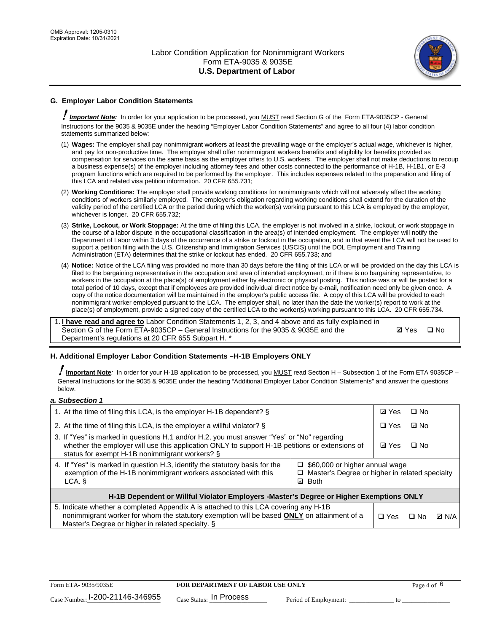

## **G. Employer Labor Condition Statements**

! *Important Note:* In order for your application to be processed, you MUST read Section G of the Form ETA-9035CP - General Instructions for the 9035 & 9035E under the heading "Employer Labor Condition Statements" and agree to all four (4) labor condition statements summarized below:

- (1) **Wages:** The employer shall pay nonimmigrant workers at least the prevailing wage or the employer's actual wage, whichever is higher, and pay for non-productive time. The employer shall offer nonimmigrant workers benefits and eligibility for benefits provided as compensation for services on the same basis as the employer offers to U.S. workers. The employer shall not make deductions to recoup a business expense(s) of the employer including attorney fees and other costs connected to the performance of H-1B, H-1B1, or E-3 program functions which are required to be performed by the employer. This includes expenses related to the preparation and filing of this LCA and related visa petition information. 20 CFR 655.731;
- (2) **Working Conditions:** The employer shall provide working conditions for nonimmigrants which will not adversely affect the working conditions of workers similarly employed. The employer's obligation regarding working conditions shall extend for the duration of the validity period of the certified LCA or the period during which the worker(s) working pursuant to this LCA is employed by the employer, whichever is longer. 20 CFR 655.732;
- (3) **Strike, Lockout, or Work Stoppage:** At the time of filing this LCA, the employer is not involved in a strike, lockout, or work stoppage in the course of a labor dispute in the occupational classification in the area(s) of intended employment. The employer will notify the Department of Labor within 3 days of the occurrence of a strike or lockout in the occupation, and in that event the LCA will not be used to support a petition filing with the U.S. Citizenship and Immigration Services (USCIS) until the DOL Employment and Training Administration (ETA) determines that the strike or lockout has ended. 20 CFR 655.733; and
- (4) **Notice:** Notice of the LCA filing was provided no more than 30 days before the filing of this LCA or will be provided on the day this LCA is filed to the bargaining representative in the occupation and area of intended employment, or if there is no bargaining representative, to workers in the occupation at the place(s) of employment either by electronic or physical posting. This notice was or will be posted for a total period of 10 days, except that if employees are provided individual direct notice by e-mail, notification need only be given once. A copy of the notice documentation will be maintained in the employer's public access file. A copy of this LCA will be provided to each nonimmigrant worker employed pursuant to the LCA. The employer shall, no later than the date the worker(s) report to work at the place(s) of employment, provide a signed copy of the certified LCA to the worker(s) working pursuant to this LCA. 20 CFR 655.734.

1. **I have read and agree to** Labor Condition Statements 1, 2, 3, and 4 above and as fully explained in Section G of the Form ETA-9035CP – General Instructions for the 9035 & 9035E and the Department's regulations at 20 CFR 655 Subpart H. \*

**Ø**Yes ロNo

## **H. Additional Employer Labor Condition Statements –H-1B Employers ONLY**

!**Important Note***:* In order for your H-1B application to be processed, you MUST read Section H – Subsection 1 of the Form ETA 9035CP – General Instructions for the 9035 & 9035E under the heading "Additional Employer Labor Condition Statements" and answer the questions below.

#### *a. Subsection 1*

| 1. At the time of filing this LCA, is the employer H-1B dependent? §                                                                                                                                                                                                      | ⊡ Yes        | □ No      |              |  |
|---------------------------------------------------------------------------------------------------------------------------------------------------------------------------------------------------------------------------------------------------------------------------|--------------|-----------|--------------|--|
| 2. At the time of filing this LCA, is the employer a willful violator? $\S$                                                                                                                                                                                               | $\Box$ Yes   | ⊡ No      |              |  |
| 3. If "Yes" is marked in questions H.1 and/or H.2, you must answer "Yes" or "No" regarding<br>whether the employer will use this application ONLY to support H-1B petitions or extensions of<br>status for exempt H-1B nonimmigrant workers? §                            | <b>☑</b> Yes | $\Box$ No |              |  |
| 4. If "Yes" is marked in question H.3, identify the statutory basis for the<br>$\Box$ \$60,000 or higher annual wage<br>exemption of the H-1B nonimmigrant workers associated with this<br>□ Master's Degree or higher in related specialty<br><b>Both</b><br>LCA. §<br>☑ |              |           |              |  |
| H-1B Dependent or Willful Violator Employers -Master's Degree or Higher Exemptions ONLY                                                                                                                                                                                   |              |           |              |  |
| 5. Indicate whether a completed Appendix A is attached to this LCA covering any H-1B<br>nonimmigrant worker for whom the statutory exemption will be based <b>ONLY</b> on attainment of a<br>Master's Degree or higher in related specialty. §                            | $\Box$ Yes   | ⊟ No      | <b>Q</b> N/A |  |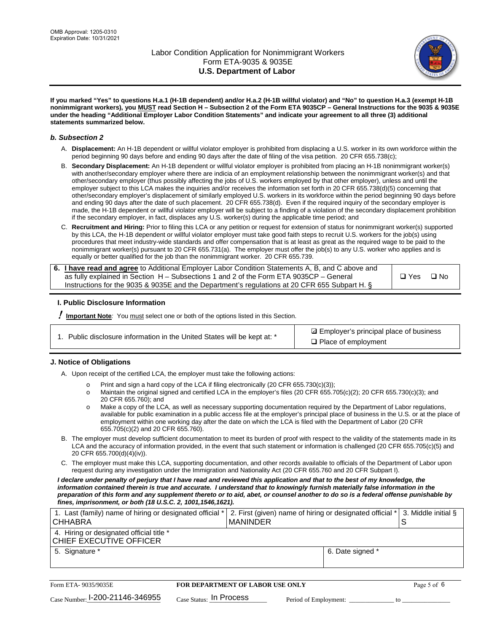

**If you marked "Yes" to questions H.a.1 (H-1B dependent) and/or H.a.2 (H-1B willful violator) and "No" to question H.a.3 (exempt H-1B nonimmigrant workers), you MUST read Section H – Subsection 2 of the Form ETA 9035CP – General Instructions for the 9035 & 9035E under the heading "Additional Employer Labor Condition Statements" and indicate your agreement to all three (3) additional statements summarized below.**

#### *b. Subsection 2*

- A. **Displacement:** An H-1B dependent or willful violator employer is prohibited from displacing a U.S. worker in its own workforce within the period beginning 90 days before and ending 90 days after the date of filing of the visa petition. 20 CFR 655.738(c);
- B. **Secondary Displacement:** An H-1B dependent or willful violator employer is prohibited from placing an H-1B nonimmigrant worker(s) with another/secondary employer where there are indicia of an employment relationship between the nonimmigrant worker(s) and that other/secondary employer (thus possibly affecting the jobs of U.S. workers employed by that other employer), unless and until the employer subject to this LCA makes the inquiries and/or receives the information set forth in 20 CFR 655.738(d)(5) concerning that other/secondary employer's displacement of similarly employed U.S. workers in its workforce within the period beginning 90 days before and ending 90 days after the date of such placement. 20 CFR 655.738(d). Even if the required inquiry of the secondary employer is made, the H-1B dependent or willful violator employer will be subject to a finding of a violation of the secondary displacement prohibition if the secondary employer, in fact, displaces any U.S. worker(s) during the applicable time period; and
- C. **Recruitment and Hiring:** Prior to filing this LCA or any petition or request for extension of status for nonimmigrant worker(s) supported by this LCA, the H-1B dependent or willful violator employer must take good faith steps to recruit U.S. workers for the job(s) using procedures that meet industry-wide standards and offer compensation that is at least as great as the required wage to be paid to the nonimmigrant worker(s) pursuant to 20 CFR 655.731(a). The employer must offer the job(s) to any U.S. worker who applies and is equally or better qualified for the job than the nonimmigrant worker. 20 CFR 655.739.

| 6. I have read and agree to Additional Employer Labor Condition Statements A, B, and C above and |       |           |
|--------------------------------------------------------------------------------------------------|-------|-----------|
| as fully explained in Section H – Subsections 1 and 2 of the Form ETA 9035CP – General           | □ Yes | $\Box$ No |
| Instructions for the 9035 & 9035E and the Department's regulations at 20 CFR 655 Subpart H. §    |       |           |

## **I. Public Disclosure Information**

! **Important Note***:* You must select one or both of the options listed in this Section.

| 1. Public disclosure information in the United States will be kept at: * |  |  |  |  |  |  |  |  |
|--------------------------------------------------------------------------|--|--|--|--|--|--|--|--|
|--------------------------------------------------------------------------|--|--|--|--|--|--|--|--|

**sqrt** Employer's principal place of business □ Place of employment

## **J. Notice of Obligations**

A. Upon receipt of the certified LCA, the employer must take the following actions:

- o Print and sign a hard copy of the LCA if filing electronically (20 CFR 655.730(c)(3));<br>
Maintain the original signed and certified LCA in the employer's files (20 CFR 655.7
- Maintain the original signed and certified LCA in the employer's files (20 CFR 655.705(c)(2); 20 CFR 655.730(c)(3); and 20 CFR 655.760); and
- o Make a copy of the LCA, as well as necessary supporting documentation required by the Department of Labor regulations, available for public examination in a public access file at the employer's principal place of business in the U.S. or at the place of employment within one working day after the date on which the LCA is filed with the Department of Labor (20 CFR 655.705(c)(2) and 20 CFR 655.760).
- B. The employer must develop sufficient documentation to meet its burden of proof with respect to the validity of the statements made in its LCA and the accuracy of information provided, in the event that such statement or information is challenged (20 CFR 655.705(c)(5) and 20 CFR 655.700(d)(4)(iv)).
- C. The employer must make this LCA, supporting documentation, and other records available to officials of the Department of Labor upon request during any investigation under the Immigration and Nationality Act (20 CFR 655.760 and 20 CFR Subpart I).

*I declare under penalty of perjury that I have read and reviewed this application and that to the best of my knowledge, the*  information contained therein is true and accurate. I understand that to knowingly furnish materially false information in the *preparation of this form and any supplement thereto or to aid, abet, or counsel another to do so is a federal offense punishable by fines, imprisonment, or both (18 U.S.C. 2, 1001,1546,1621).*

| 1. Last (family) name of hiring or designated official *<br><b>CHHABRA</b> |                         | <b>MANINDER</b>                         | 2. First (given) name of hiring or designated official * | 3. Middle initial §<br>S |
|----------------------------------------------------------------------------|-------------------------|-----------------------------------------|----------------------------------------------------------|--------------------------|
| 4. Hiring or designated official title *<br>CHIEF EXECUTIVE OFFICER        |                         |                                         |                                                          |                          |
| 5. Signature *                                                             |                         |                                         | 6. Date signed *                                         |                          |
|                                                                            |                         |                                         |                                                          |                          |
| Form ETA- 9035/9035E                                                       |                         | <b>FOR DEPARTMENT OF LABOR USE ONLY</b> |                                                          | Page 5 of 6              |
| Case Number: 1-200-21146-346955                                            | Case Status: In Process |                                         | Period of Employment:                                    | tΩ                       |